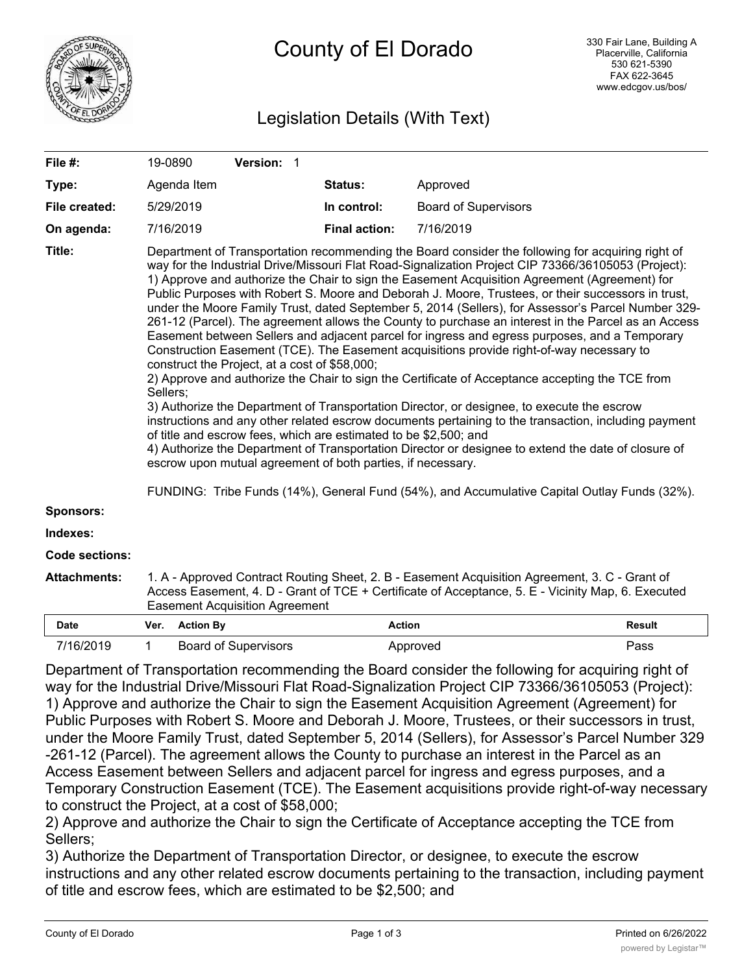

# Legislation Details (With Text)

| File #:               |                                                                                                                                                                                                                                                                                                                                                                                                                                                                                                                                                                                                                                                                                                                                                                                                                                                                                                                                                                                                                                                                                                                                                                                                                                                                                                                                                                                                                                                                                                                                           | 19-0890          | Version: 1                  |  |                      |                             |               |
|-----------------------|-------------------------------------------------------------------------------------------------------------------------------------------------------------------------------------------------------------------------------------------------------------------------------------------------------------------------------------------------------------------------------------------------------------------------------------------------------------------------------------------------------------------------------------------------------------------------------------------------------------------------------------------------------------------------------------------------------------------------------------------------------------------------------------------------------------------------------------------------------------------------------------------------------------------------------------------------------------------------------------------------------------------------------------------------------------------------------------------------------------------------------------------------------------------------------------------------------------------------------------------------------------------------------------------------------------------------------------------------------------------------------------------------------------------------------------------------------------------------------------------------------------------------------------------|------------------|-----------------------------|--|----------------------|-----------------------------|---------------|
| Type:                 |                                                                                                                                                                                                                                                                                                                                                                                                                                                                                                                                                                                                                                                                                                                                                                                                                                                                                                                                                                                                                                                                                                                                                                                                                                                                                                                                                                                                                                                                                                                                           | Agenda Item      |                             |  | Status:              | Approved                    |               |
| File created:         |                                                                                                                                                                                                                                                                                                                                                                                                                                                                                                                                                                                                                                                                                                                                                                                                                                                                                                                                                                                                                                                                                                                                                                                                                                                                                                                                                                                                                                                                                                                                           | 5/29/2019        |                             |  | In control:          | <b>Board of Supervisors</b> |               |
| On agenda:            |                                                                                                                                                                                                                                                                                                                                                                                                                                                                                                                                                                                                                                                                                                                                                                                                                                                                                                                                                                                                                                                                                                                                                                                                                                                                                                                                                                                                                                                                                                                                           | 7/16/2019        |                             |  | <b>Final action:</b> | 7/16/2019                   |               |
| Title:                | Department of Transportation recommending the Board consider the following for acquiring right of<br>way for the Industrial Drive/Missouri Flat Road-Signalization Project CIP 73366/36105053 (Project):<br>1) Approve and authorize the Chair to sign the Easement Acquisition Agreement (Agreement) for<br>Public Purposes with Robert S. Moore and Deborah J. Moore, Trustees, or their successors in trust,<br>under the Moore Family Trust, dated September 5, 2014 (Sellers), for Assessor's Parcel Number 329-<br>261-12 (Parcel). The agreement allows the County to purchase an interest in the Parcel as an Access<br>Easement between Sellers and adjacent parcel for ingress and egress purposes, and a Temporary<br>Construction Easement (TCE). The Easement acquisitions provide right-of-way necessary to<br>construct the Project, at a cost of \$58,000;<br>2) Approve and authorize the Chair to sign the Certificate of Acceptance accepting the TCE from<br>Sellers:<br>3) Authorize the Department of Transportation Director, or designee, to execute the escrow<br>instructions and any other related escrow documents pertaining to the transaction, including payment<br>of title and escrow fees, which are estimated to be \$2,500; and<br>4) Authorize the Department of Transportation Director or designee to extend the date of closure of<br>escrow upon mutual agreement of both parties, if necessary.<br>FUNDING: Tribe Funds (14%), General Fund (54%), and Accumulative Capital Outlay Funds (32%). |                  |                             |  |                      |                             |               |
| <b>Sponsors:</b>      |                                                                                                                                                                                                                                                                                                                                                                                                                                                                                                                                                                                                                                                                                                                                                                                                                                                                                                                                                                                                                                                                                                                                                                                                                                                                                                                                                                                                                                                                                                                                           |                  |                             |  |                      |                             |               |
| Indexes:              |                                                                                                                                                                                                                                                                                                                                                                                                                                                                                                                                                                                                                                                                                                                                                                                                                                                                                                                                                                                                                                                                                                                                                                                                                                                                                                                                                                                                                                                                                                                                           |                  |                             |  |                      |                             |               |
| <b>Code sections:</b> |                                                                                                                                                                                                                                                                                                                                                                                                                                                                                                                                                                                                                                                                                                                                                                                                                                                                                                                                                                                                                                                                                                                                                                                                                                                                                                                                                                                                                                                                                                                                           |                  |                             |  |                      |                             |               |
| <b>Attachments:</b>   | 1. A - Approved Contract Routing Sheet, 2. B - Easement Acquisition Agreement, 3. C - Grant of<br>Access Easement, 4. D - Grant of TCE + Certificate of Acceptance, 5. E - Vicinity Map, 6. Executed<br><b>Easement Acquisition Agreement</b>                                                                                                                                                                                                                                                                                                                                                                                                                                                                                                                                                                                                                                                                                                                                                                                                                                                                                                                                                                                                                                                                                                                                                                                                                                                                                             |                  |                             |  |                      |                             |               |
| <b>Date</b>           | Ver.                                                                                                                                                                                                                                                                                                                                                                                                                                                                                                                                                                                                                                                                                                                                                                                                                                                                                                                                                                                                                                                                                                                                                                                                                                                                                                                                                                                                                                                                                                                                      | <b>Action By</b> |                             |  | <b>Action</b>        |                             | <b>Result</b> |
| 7/16/2019             | $\mathbf 1$                                                                                                                                                                                                                                                                                                                                                                                                                                                                                                                                                                                                                                                                                                                                                                                                                                                                                                                                                                                                                                                                                                                                                                                                                                                                                                                                                                                                                                                                                                                               |                  | <b>Board of Supervisors</b> |  |                      | Approved                    | Pass          |

Department of Transportation recommending the Board consider the following for acquiring right of way for the Industrial Drive/Missouri Flat Road-Signalization Project CIP 73366/36105053 (Project): 1) Approve and authorize the Chair to sign the Easement Acquisition Agreement (Agreement) for Public Purposes with Robert S. Moore and Deborah J. Moore, Trustees, or their successors in trust, under the Moore Family Trust, dated September 5, 2014 (Sellers), for Assessor's Parcel Number 329 -261-12 (Parcel). The agreement allows the County to purchase an interest in the Parcel as an Access Easement between Sellers and adjacent parcel for ingress and egress purposes, and a Temporary Construction Easement (TCE). The Easement acquisitions provide right-of-way necessary to construct the Project, at a cost of \$58,000;

2) Approve and authorize the Chair to sign the Certificate of Acceptance accepting the TCE from Sellers;

3) Authorize the Department of Transportation Director, or designee, to execute the escrow instructions and any other related escrow documents pertaining to the transaction, including payment of title and escrow fees, which are estimated to be \$2,500; and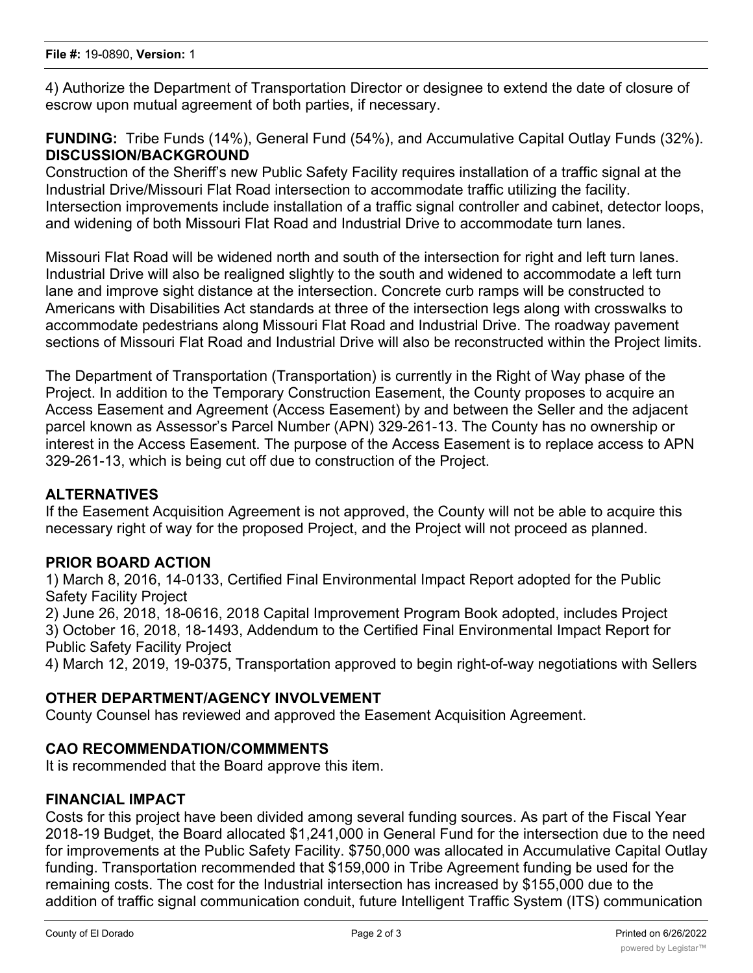4) Authorize the Department of Transportation Director or designee to extend the date of closure of escrow upon mutual agreement of both parties, if necessary.

**FUNDING:** Tribe Funds (14%), General Fund (54%), and Accumulative Capital Outlay Funds (32%). **DISCUSSION/BACKGROUND**

Construction of the Sheriff's new Public Safety Facility requires installation of a traffic signal at the Industrial Drive/Missouri Flat Road intersection to accommodate traffic utilizing the facility. Intersection improvements include installation of a traffic signal controller and cabinet, detector loops, and widening of both Missouri Flat Road and Industrial Drive to accommodate turn lanes.

Missouri Flat Road will be widened north and south of the intersection for right and left turn lanes. Industrial Drive will also be realigned slightly to the south and widened to accommodate a left turn lane and improve sight distance at the intersection. Concrete curb ramps will be constructed to Americans with Disabilities Act standards at three of the intersection legs along with crosswalks to accommodate pedestrians along Missouri Flat Road and Industrial Drive. The roadway pavement sections of Missouri Flat Road and Industrial Drive will also be reconstructed within the Project limits.

The Department of Transportation (Transportation) is currently in the Right of Way phase of the Project. In addition to the Temporary Construction Easement, the County proposes to acquire an Access Easement and Agreement (Access Easement) by and between the Seller and the adjacent parcel known as Assessor's Parcel Number (APN) 329-261-13. The County has no ownership or interest in the Access Easement. The purpose of the Access Easement is to replace access to APN 329-261-13, which is being cut off due to construction of the Project.

### **ALTERNATIVES**

If the Easement Acquisition Agreement is not approved, the County will not be able to acquire this necessary right of way for the proposed Project, and the Project will not proceed as planned.

#### **PRIOR BOARD ACTION**

1) March 8, 2016, 14-0133, Certified Final Environmental Impact Report adopted for the Public Safety Facility Project

2) June 26, 2018, 18-0616, 2018 Capital Improvement Program Book adopted, includes Project 3) October 16, 2018, 18-1493, Addendum to the Certified Final Environmental Impact Report for Public Safety Facility Project

4) March 12, 2019, 19-0375, Transportation approved to begin right-of-way negotiations with Sellers

#### **OTHER DEPARTMENT/AGENCY INVOLVEMENT**

County Counsel has reviewed and approved the Easement Acquisition Agreement.

#### **CAO RECOMMENDATION/COMMMENTS**

It is recommended that the Board approve this item.

#### **FINANCIAL IMPACT**

Costs for this project have been divided among several funding sources. As part of the Fiscal Year 2018-19 Budget, the Board allocated \$1,241,000 in General Fund for the intersection due to the need for improvements at the Public Safety Facility. \$750,000 was allocated in Accumulative Capital Outlay funding. Transportation recommended that \$159,000 in Tribe Agreement funding be used for the remaining costs. The cost for the Industrial intersection has increased by \$155,000 due to the addition of traffic signal communication conduit, future Intelligent Traffic System (ITS) communication